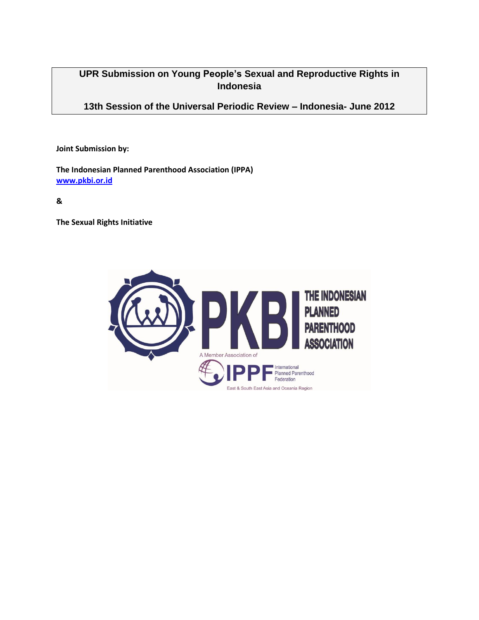# **UPR Submission on Young People's Sexual and Reproductive Rights in Indonesia**

**13th Session of the Universal Periodic Review – Indonesia- June 2012**

**Joint Submission by:**

**The Indonesian Planned Parenthood Association (IPPA) [www.pkbi.or.id](http://www.pkbi.or.id/)**

**&** 

**The Sexual Rights Initiative**

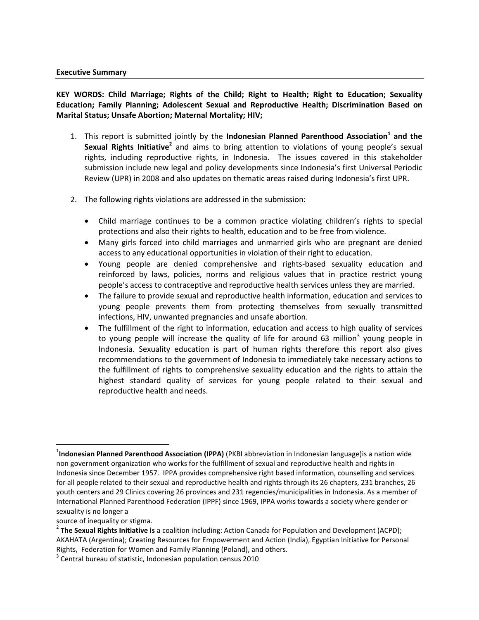#### **Executive Summary**

**KEY WORDS: Child Marriage; Rights of the Child; Right to Health; Right to Education; Sexuality Education; Family Planning; Adolescent Sexual and Reproductive Health; Discrimination Based on Marital Status; Unsafe Abortion; Maternal Mortality; HIV;**

- 1. This report is submitted jointly by the **Indonesian Planned Parenthood Association<sup>1</sup> and the**  Sexual Rights Initiative<sup>2</sup> and aims to bring attention to violations of young people's sexual rights, including reproductive rights, in Indonesia. The issues covered in this stakeholder submission include new legal and policy developments since Indonesia's first Universal Periodic Review (UPR) in 2008 and also updates on thematic areas raised during Indonesia's first UPR.
- 2. The following rights violations are addressed in the submission:
	- Child marriage continues to be a common practice violating children's rights to special protections and also their rights to health, education and to be free from violence.
	- Many girls forced into child marriages and unmarried girls who are pregnant are denied access to any educational opportunities in violation of their right to education.
	- Young people are denied comprehensive and rights-based sexuality education and reinforced by laws, policies, norms and religious values that in practice restrict young people's access to contraceptive and reproductive health services unless they are married.
	- The failure to provide sexual and reproductive health information, education and services to young people prevents them from protecting themselves from sexually transmitted infections, HIV, unwanted pregnancies and unsafe abortion.
	- The fulfillment of the right to information, education and access to high quality of services to young people will increase the quality of life for around 63 million<sup>3</sup> young people in Indonesia. Sexuality education is part of human rights therefore this report also gives recommendations to the government of Indonesia to immediately take necessary actions to the fulfillment of rights to comprehensive sexuality education and the rights to attain the highest standard quality of services for young people related to their sexual and reproductive health and needs.

source of inequality or stigma.

 $\overline{\phantom{a}}$ 

<sup>1</sup> **Indonesian Planned Parenthood Association (IPPA)** (PKBI abbreviation in Indonesian language)is a nation wide non government organization who works for the fulfillment of sexual and reproductive health and rights in Indonesia since December 1957. IPPA provides comprehensive right based information, counselling and services for all people related to their sexual and reproductive health and rights through its 26 chapters, 231 branches, 26 youth centers and 29 Clinics covering 26 provinces and 231 regencies/municipalities in Indonesia. As a member of International Planned Parenthood Federation (IPPF) since 1969, IPPA works towards a society where gender or sexuality is no longer a

<sup>2</sup> **The Sexual Rights Initiative is** a coalition including: Action Canada for Population and Development (ACPD); AKAHATA (Argentina); Creating Resources for Empowerment and Action (India), Egyptian Initiative for Personal Rights, Federation for Women and Family Planning (Poland), and others.

 $3$  Central bureau of statistic, Indonesian population census 2010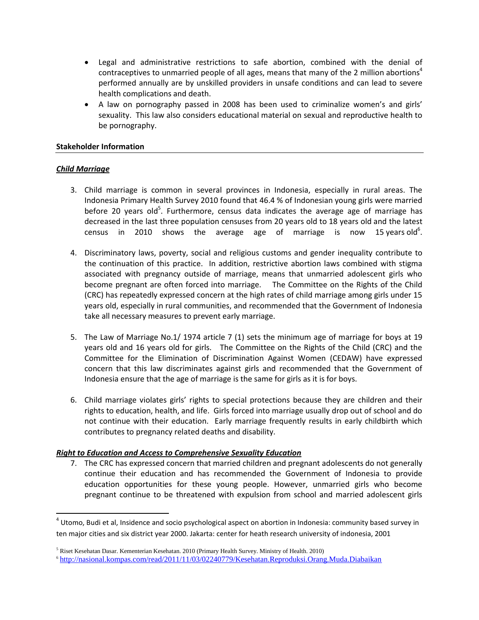- Legal and administrative restrictions to safe abortion, combined with the denial of contraceptives to unmarried people of all ages, means that many of the 2 million abortions<sup>4</sup> performed annually are by unskilled providers in unsafe conditions and can lead to severe health complications and death.
- A law on pornography passed in 2008 has been used to criminalize women's and girls' sexuality. This law also considers educational material on sexual and reproductive health to be pornography.

#### **Stakeholder Information**

#### *Child Marriage*

 $\overline{\phantom{a}}$ 

- 3. Child marriage is common in several provinces in Indonesia, especially in rural areas. The Indonesia Primary Health Survey 2010 found that 46.4 % of Indonesian young girls were married before 20 years old<sup>5</sup>. Furthermore, census data indicates the average age of marriage has decreased in the last three population censuses from 20 years old to 18 years old and the latest census in 2010 shows the average age of marriage is now 15-years-old<sup>6</sup>.
- 4. Discriminatory laws, poverty, social and religious customs and gender inequality contribute to the continuation of this practice. In addition, restrictive abortion laws combined with stigma associated with pregnancy outside of marriage, means that unmarried adolescent girls who become pregnant are often forced into marriage. The Committee on the Rights of the Child (CRC) has repeatedly expressed concern at the high rates of child marriage among girls under 15 years old, especially in rural communities, and recommended that the Government of Indonesia take all necessary measures to prevent early marriage.
- 5. The Law of Marriage No.1/ 1974 article 7 (1) sets the minimum age of marriage for boys at 19 years old and 16 years old for girls. The Committee on the Rights of the Child (CRC) and the Committee for the Elimination of Discrimination Against Women (CEDAW) have expressed concern that this law discriminates against girls and recommended that the Government of Indonesia ensure that the age of marriage is the same for girls as it is for boys.
- 6. Child marriage violates girls' rights to special protections because they are children and their rights to education, health, and life. Girls forced into marriage usually drop out of school and do not continue with their education. Early marriage frequently results in early childbirth which contributes to pregnancy related deaths and disability.

#### *Right to Education and Access to Comprehensive Sexuality Education*

7. The CRC has expressed concern that married children and pregnant adolescents do not generally continue their education and has recommended the Government of Indonesia to provide education opportunities for these young people. However, unmarried girls who become pregnant continue to be threatened with expulsion from school and married adolescent girls

 $^4$  Utomo, Budi et al, Insidence and socio psychological aspect on abortion in Indonesia: community based survey in ten major cities and six district year 2000. Jakarta: center for heath research university of indonesia, 2001

<sup>5</sup> Riset Kesehatan Dasar. Kementerian Kesehatan. 2010 (Primary Health Survey. Ministry of Health. 2010)

<sup>6</sup> <http://nasional.kompas.com/read/2011/11/03/02240779/Kesehatan.Reproduksi.Orang.Muda.Diabaikan>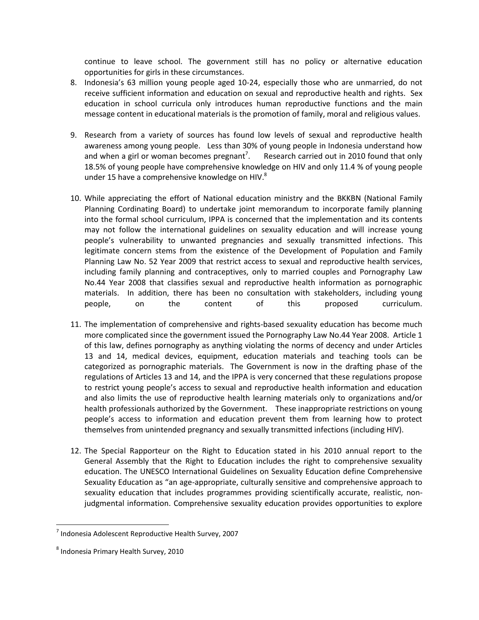continue to leave school. The government still has no policy or alternative education opportunities for girls in these circumstances.

- 8. Indonesia's 63 million young people aged 10-24, especially those who are unmarried, do not receive sufficient information and education on sexual and reproductive health and rights. Sex education in school curricula only introduces human reproductive functions and the main message content in educational materials is the promotion of family, moral and religious values.
- 9. Research from a variety of sources has found low levels of sexual and reproductive health awareness among young people. Less than 30% of young people in Indonesia understand how and when a girl or woman becomes pregnant<sup>7</sup>. . Research carried out in 2010 found that only 18.5% of young people have comprehensive knowledge on HIV and only 11.4 % of young people under 15 have a comprehensive knowledge on HIV. $^8$
- 10. While appreciating the effort of National education ministry and the BKKBN (National Family Planning Cordinating Board) to undertake joint memorandum to incorporate family planning into the formal school curriculum, IPPA is concerned that the implementation and its contents may not follow the international guidelines on sexuality education and will increase young people's vulnerability to unwanted pregnancies and sexually transmitted infections. This legitimate concern stems from the existence of the Development of Population and Family Planning Law No. 52 Year 2009 that restrict access to sexual and reproductive health services, including family planning and contraceptives, only to married couples and Pornography Law No.44 Year 2008 that classifies sexual and reproductive health information as pornographic materials. In addition, there has been no consultation with stakeholders, including young people, on the content of this proposed curriculum.
- 11. The implementation of comprehensive and rights-based sexuality education has become much more complicated since the government issued the Pornography Law No.44 Year 2008. Article 1 of this law, defines pornography as anything violating the norms of decency and under Articles 13 and 14, medical devices, equipment, education materials and teaching tools can be categorized as pornographic materials. The Government is now in the drafting phase of the regulations of Articles 13 and 14, and the IPPA is very concerned that these regulations propose to restrict young people's access to sexual and reproductive health information and education and also limits the use of reproductive health learning materials only to organizations and/or health professionals authorized by the Government. These inappropriate restrictions on young people's access to information and education prevent them from learning how to protect themselves from unintended pregnancy and sexually transmitted infections (including HIV).
- 12. The Special Rapporteur on the Right to Education stated in his 2010 annual report to the General Assembly that the Right to Education includes the right to comprehensive sexuality education. The UNESCO International Guidelines on Sexuality Education define Comprehensive Sexuality Education as "an age-appropriate, culturally sensitive and comprehensive approach to sexuality education that includes programmes providing scientifically accurate, realistic, nonjudgmental information. Comprehensive sexuality education provides opportunities to explore

 $\overline{\phantom{a}}$ 

<sup>7</sup> Indonesia Adolescent Reproductive Health Survey, 2007

<sup>&</sup>lt;sup>8</sup> Indonesia Primary Health Survey, 2010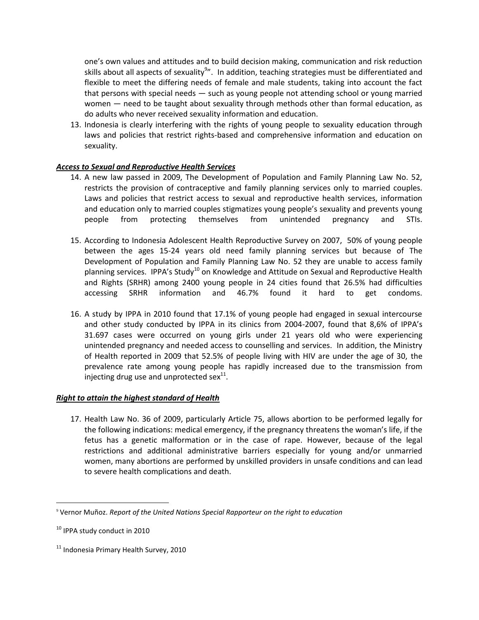one's own values and attitudes and to build decision making, communication and risk reduction skills about all aspects of sexuality $^{9}$ ". In addition, teaching strategies must be differentiated and flexible to meet the differing needs of female and male students, taking into account the fact that persons with special needs — such as young people not attending school or young married women – need to be taught about sexuality through methods other than formal education, as do adults who never received sexuality information and education.

13. Indonesia is clearly interfering with the rights of young people to sexuality education through laws and policies that restrict rights-based and comprehensive information and education on sexuality.

## *Access to Sexual and Reproductive Health Services*

- 14. A new law passed in 2009, The Development of Population and Family Planning Law No. 52, restricts the provision of contraceptive and family planning services only to married couples. Laws and policies that restrict access to sexual and reproductive health services, information and education only to married couples stigmatizes young people's sexuality and prevents young people from protecting themselves from unintended pregnancy and STIs.
- 15. According to Indonesia Adolescent Health Reproductive Survey on 2007, 50% of young people between the ages 15-24 years old need family planning services but because of The Development of Population and Family Planning Law No. 52 they are unable to access family planning services. IPPA's Study<sup>10</sup> on Knowledge and Attitude on Sexual and Reproductive Health and Rights (SRHR) among 2400 young people in 24 cities found that 26.5% had difficulties accessing SRHR information and 46.7% found it hard to get condoms.
- 16. A study by IPPA in 2010 found that 17.1% of young people had engaged in sexual intercourse and other study conducted by IPPA in its clinics from 2004-2007, found that 8,6% of IPPA's 31.697 cases were occurred on young girls under 21 years old who were experiencing unintended pregnancy and needed access to counselling and services. In addition, the Ministry of Health reported in 2009 that 52.5% of people living with HIV are under the age of 30, the prevalence rate among young people has rapidly increased due to the transmission from injecting drug use and unprotected sex $^{11}$ .

# *Right to attain the highest standard of Health*

17. Health Law No. 36 of 2009, particularly Article 75, allows abortion to be performed legally for the following indications: medical emergency, if the pregnancy threatens the woman's life, if the fetus has a genetic malformation or in the case of rape. However, because of the legal restrictions and additional administrative barriers especially for young and/or unmarried women, many abortions are performed by unskilled providers in unsafe conditions and can lead to severe health complications and death.

 $\overline{\phantom{a}}$ 

<sup>9</sup> Vernor Muñoz. *Report of the United Nations Special Rapporteur on the right to education*

<sup>&</sup>lt;sup>10</sup> IPPA study conduct in 2010

<sup>&</sup>lt;sup>11</sup> Indonesia Primary Health Survey, 2010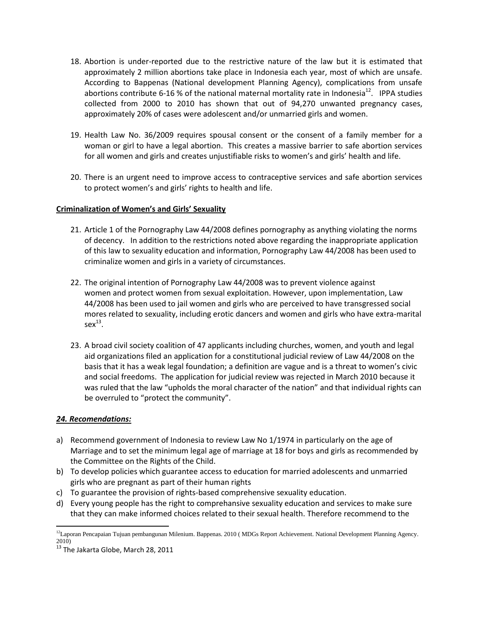- 18. Abortion is under-reported due to the restrictive nature of the law but it is estimated that approximately 2 million abortions take place in Indonesia each year, most of which are unsafe. According to Bappenas (National development Planning Agency), complications from unsafe abortions contribute 6-16 % of the national maternal mortality rate in Indonesia<sup>12</sup>. IPPA studies collected from 2000 to 2010 has shown that out of 94,270 unwanted pregnancy cases, approximately 20% of cases were adolescent and/or unmarried girls and women.
- 19. Health Law No. 36/2009 requires spousal consent or the consent of a family member for a woman or girl to have a legal abortion. This creates a massive barrier to safe abortion services for all women and girls and creates unjustifiable risks to women's and girls' health and life.
- 20. There is an urgent need to improve access to contraceptive services and safe abortion services to protect women's and girls' rights to health and life.

## **Criminalization of Women's and Girls' Sexuality**

- 21. Article 1 of the Pornography Law 44/2008 defines pornography as anything violating the norms of decency. In addition to the restrictions noted above regarding the inappropriate application of this law to sexuality education and information, Pornography Law 44/2008 has been used to criminalize women and girls in a variety of circumstances.
- 22. The original intention of Pornography Law 44/2008 was to prevent violence against women and protect women from sexual exploitation. However, upon implementation, Law 44/2008 has been used to jail women and girls who are perceived to have transgressed social mores related to sexuality, including erotic dancers and women and girls who have extra-marital  $sex^{13}$ .
- 23. A broad civil society coalition of 47 applicants including churches, women, and youth and legal aid organizations filed an application for a constitutional judicial review of Law 44/2008 on the basis that it has a weak legal foundation; a definition are vague and is a threat to women's civic and social freedoms. The application for judicial review was rejected in March 2010 because it was ruled that the law "upholds the moral character of the nation" and that individual rights can be overruled to "protect the community".

# *24. Recomendations:*

- a) Recommend government of Indonesia to review Law No 1/1974 in particularly on the age of Marriage and to set the minimum legal age of marriage at 18 for boys and girls as recommended by the Committee on the Rights of the Child.
- b) To develop policies which guarantee access to education for married adolescents and unmarried girls who are pregnant as part of their human rights
- c) To guarantee the provision of rights-based comprehensive sexuality education.
- d) Every young people has the right to comprehansive sexuality education and services to make sure that they can make informed choices related to their sexual health. Therefore recommend to the

 $\overline{a}$ <sup>12</sup>Laporan Pencapaian Tujuan pembangunan Milenium. Bappenas. 2010 (MDGs Report Achievement. National Development Planning Agency. 2010)

<sup>&</sup>lt;sup>13</sup> The Jakarta Globe, March 28, 2011